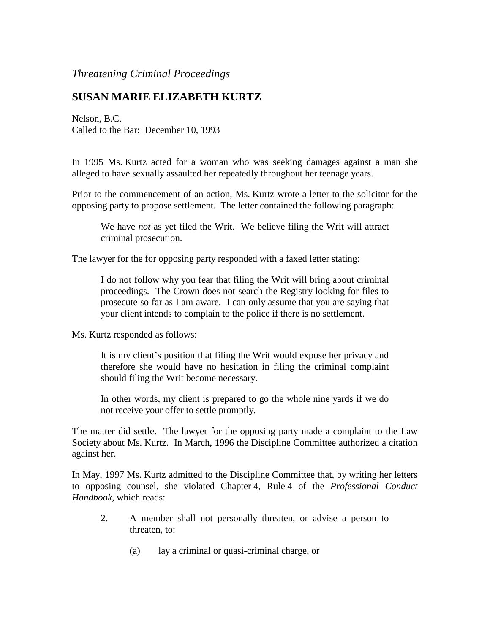## *Threatening Criminal Proceedings*

## **SUSAN MARIE ELIZABETH KURTZ**

Nelson, B.C. Called to the Bar: December 10, 1993

In 1995 Ms. Kurtz acted for a woman who was seeking damages against a man she alleged to have sexually assaulted her repeatedly throughout her teenage years.

Prior to the commencement of an action, Ms. Kurtz wrote a letter to the solicitor for the opposing party to propose settlement. The letter contained the following paragraph:

We have *not* as yet filed the Writ. We believe filing the Writ will attract criminal prosecution.

The lawyer for the for opposing party responded with a faxed letter stating:

I do not follow why you fear that filing the Writ will bring about criminal proceedings. The Crown does not search the Registry looking for files to prosecute so far as I am aware. I can only assume that you are saying that your client intends to complain to the police if there is no settlement.

Ms. Kurtz responded as follows:

It is my client's position that filing the Writ would expose her privacy and therefore she would have no hesitation in filing the criminal complaint should filing the Writ become necessary.

In other words, my client is prepared to go the whole nine yards if we do not receive your offer to settle promptly.

The matter did settle. The lawyer for the opposing party made a complaint to the Law Society about Ms. Kurtz. In March, 1996 the Discipline Committee authorized a citation against her.

In May, 1997 Ms. Kurtz admitted to the Discipline Committee that, by writing her letters to opposing counsel, she violated Chapter 4, Rule 4 of the *Professional Conduct Handbook*, which reads:

- 2. A member shall not personally threaten, or advise a person to threaten, to:
	- (a) lay a criminal or quasi-criminal charge, or